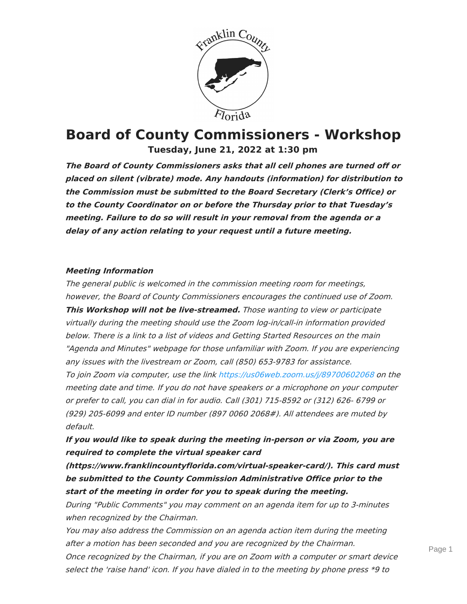

# **Board of County Commissioners - Workshop Tuesday, June 21, 2022 at 1:30 pm**

**The Board of County Commissioners asks that all cell phones are turned off or placed on silent (vibrate) mode. Any handouts (information) for distribution to the Commission must be submitted to the Board Secretary (Clerk's Office) or to the County Coordinator on or before the Thursday prior to that Tuesday's meeting. Failure to do so will result in your removal from the agenda or <sup>a</sup> delay of any action relating to your request until <sup>a</sup> future meeting.**

#### **Meeting Information**

The general public is welcomed in the commission meeting room for meetings, however, the Board of County Commissioners encourages the continued use of Zoom. **This Workshop will not be live-streamed.** Those wanting to view or participate virtually during the meeting should use the Zoom log-in/call-in information provided below. There is <sup>a</sup> link to <sup>a</sup> list of videos and Getting Started Resources on the main "Agenda and Minutes" webpage for those unfamiliar with Zoom. If you are experiencing any issues with the livestream or Zoom, call (850) 653-9783 for assistance.

To join Zoom via computer, use the link <https://us06web.zoom.us/j/89700602068> on the meeting date and time. If you do not have speakers or <sup>a</sup> microphone on your computer or prefer to call, you can dial in for audio. Call (301) 715-8592 or (312) 626- 6799 or (929) 205-6099 and enter ID number (897 0060 2068#). All attendees are muted by default.

**If you would like to speak during the meeting in-person or via Zoom, you are required to complete the virtual speaker card**

**(https://www.franklincountyflorida.com/virtual-speaker-card/). This card must be submitted to the County Commission Administrative Office prior to the start of the meeting in order for you to speak during the meeting.**

During "Public Comments" you may comment on an agenda item for up to 3-minutes when recognized by the Chairman.

You may also address the Commission on an agenda action item during the meeting after <sup>a</sup> motion has been seconded and you are recognized by the Chairman. Once recognized by the Chairman, if you are on Zoom with <sup>a</sup> computer or smart device select the 'raise hand' icon. If you have dialed in to the meeting by phone press \*9 to